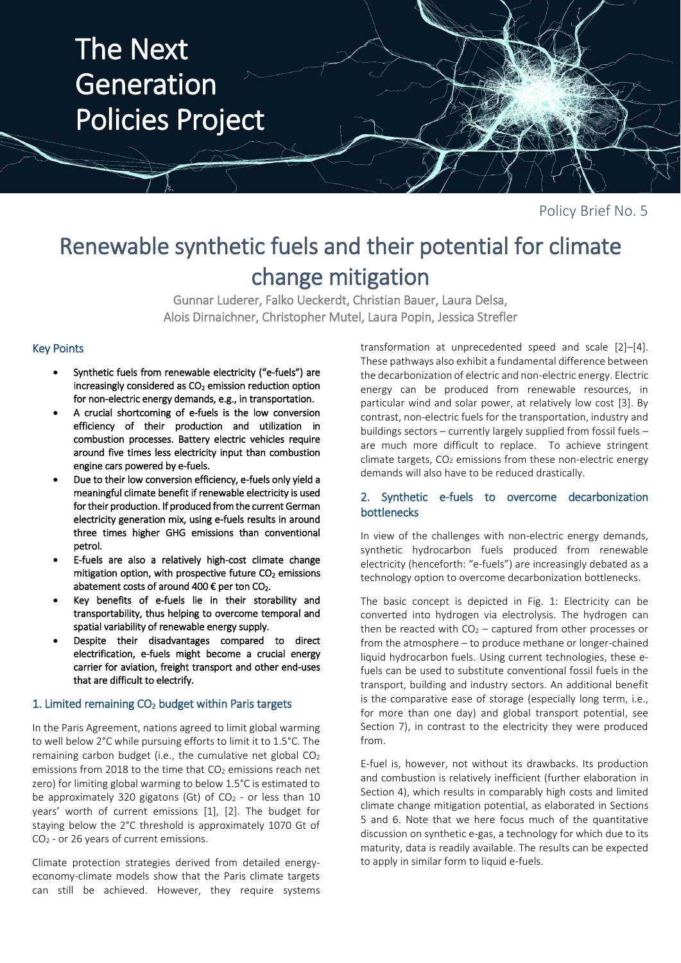

Policy Brief No. 5

# Renewable synthetic fuels and their potential for climate change mitigation

Gunnar Luderer, Falko Ueckerdt, Christian Bauer, Laura Delsa, Alois Dirnaichner, Christopher Mutel, Laura Popin, Jessica Strefler

## Key Points

- Synthetic fuels from renewable electricity ("e-fuels") are increasingly considered as  $CO<sub>2</sub>$  emission reduction option for non-electric energy demands, e.g., in transportation.
- A crucial shortcoming of e-fuels is the low conversion efficiency of their production and utilization in combustion processes. Battery electric vehicles require around five times less electricity input than combustion engine cars powered by e-fuels.
- Due to their low conversion efficiency, e-fuels only yield a meaningful climate benefit if renewable electricity is used for their production. If produced from the current German electricity generation mix, using e-fuels results in around three times higher GHG emissions than conventional petrol.
- E-fuels are also a relatively high-cost climate change mitigation option, with prospective future  $CO<sub>2</sub>$  emissions abatement costs of around 400  $\epsilon$  per ton CO<sub>2</sub>.
- Key benefits of e-fuels lie in their storability and transportability, thus helping to overcome temporal and spatial variability of renewable energy supply.
- Despite their disadvantages compared to direct electrification, e-fuels might become a crucial energy carrier for aviation, freight transport and other end-uses that are difficult to electrify.

## 1. Limited remaining CO<sub>2</sub> budget within Paris targets

In the Paris Agreement, nations agreed to limit global warming to well below 2°C while pursuing efforts to limit it to 1.5°C. The remaining carbon budget (i.e., the cumulative net global CO<sup>2</sup> emissions from 2018 to the time that CO<sub>2</sub> emissions reach net zero) for limiting global warming to below 1.5°C is estimated to be approximately 320 gigatons (Gt) of  $CO<sub>2</sub>$  - or less than 10 years' worth of current emissions [1], [2]. The budget for staying below the 2°C threshold is approximately 1070 Gt of CO<sup>2</sup> - or 26 years of current emissions.

Climate protection strategies derived from detailed energyeconomy-climate models show that the Paris climate targets can still be achieved. However, they require systems

transformation at unprecedented speed and scale [2]–[4]. These pathways also exhibit a fundamental difference between the decarbonization of electric and non-electric energy. Electric energy can be produced from renewable resources, in particular wind and solar power, at relatively low cost [3]. By contrast, non-electric fuels for the transportation, industry and buildings sectors – currently largely supplied from fossil fuels – are much more difficult to replace. To achieve stringent  $climate$  targets,  $CO<sub>2</sub>$  emissions from these non-electric energy demands will also have to be reduced drastically.

## 2. Synthetic e-fuels to overcome decarbonization bottlenecks

In view of the challenges with non-electric energy demands, synthetic hydrocarbon fuels produced from renewable electricity (henceforth: "e-fuels") are increasingly debated as a technology option to overcome decarbonization bottlenecks.

The basic concept is depicted in Fig. 1: Electricity can be converted into hydrogen via electrolysis. The hydrogen can then be reacted with  $CO<sub>2</sub>$  – captured from other processes or from the atmosphere – to produce methane or longer-chained liquid hydrocarbon fuels. Using current technologies, these efuels can be used to substitute conventional fossil fuels in the transport, building and industry sectors. An additional benefit is the comparative ease of storage (especially long term, i.e., for more than one day) and global transport potential, see Section 7), in contrast to the electricity they were produced from.

E-fuel is, however, not without its drawbacks. Its production and combustion is relatively inefficient (further elaboration in Section 4), which results in comparably high costs and limited climate change mitigation potential, as elaborated in Sections 5 and 6. Note that we here focus much of the quantitative discussion on synthetic e-gas, a technology for which due to its maturity, data is readily available. The results can be expected to apply in similar form to liquid e-fuels.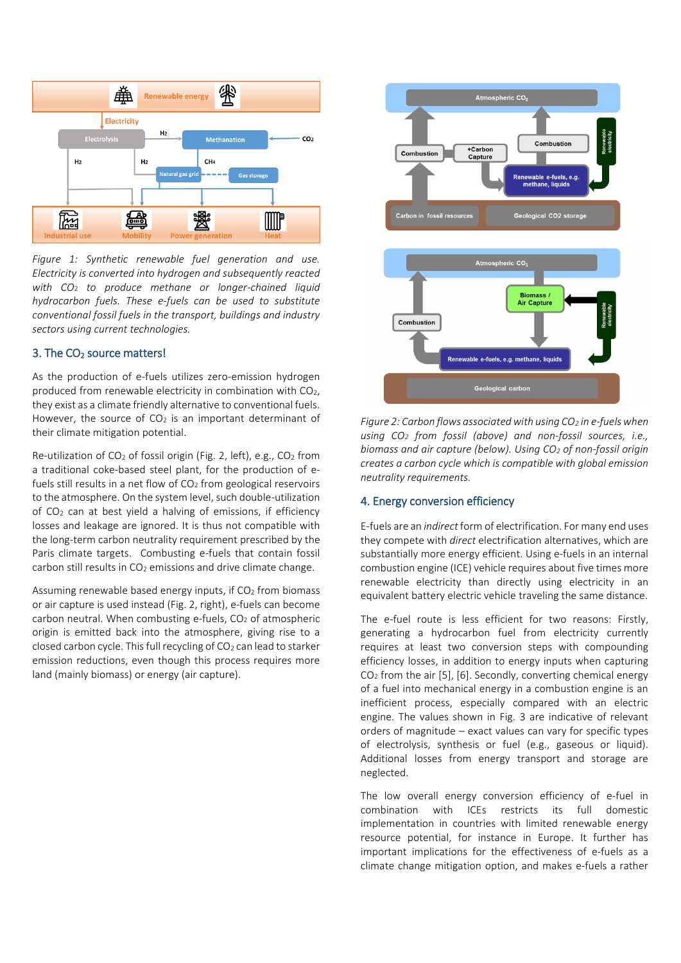

*Figure 1: Synthetic renewable fuel generation and use. Electricity is converted into hydrogen and subsequently reacted with CO*<sup>2</sup> *to produce methane or longer-chained liquid hydrocarbon fuels. These e-fuels can be used to substitute conventional fossil fuels in the transport, buildings and industry sectors using current technologies.*

## 3. The CO<sub>2</sub> source matters!

As the production of e-fuels utilizes zero-emission hydrogen produced from renewable electricity in combination with CO2, they exist as a climate friendly alternative to conventional fuels. However, the source of  $CO<sub>2</sub>$  is an important determinant of their climate mitigation potential.

Re-utilization of CO<sub>2</sub> of fossil origin (Fig. 2, left), e.g., CO<sub>2</sub> from a traditional coke-based steel plant, for the production of efuels still results in a net flow of  $CO<sub>2</sub>$  from geological reservoirs to the atmosphere. On the system level, such double-utilization of CO<sup>2</sup> can at best yield a halving of emissions, if efficiency losses and leakage are ignored. It is thus not compatible with the long-term carbon neutrality requirement prescribed by the Paris climate targets. Combusting e-fuels that contain fossil carbon still results in CO<sub>2</sub> emissions and drive climate change.

Assuming renewable based energy inputs, if  $CO<sub>2</sub>$  from biomass or air capture is used instead (Fig. 2, right), e-fuels can become carbon neutral. When combusting e-fuels, CO<sub>2</sub> of atmospheric origin is emitted back into the atmosphere, giving rise to a closed carbon cycle. This full recycling of  $CO<sub>2</sub>$  can lead to starker emission reductions, even though this process requires more land (mainly biomass) or energy (air capture).



*Figure 2: Carbon flows associated with using CO<sup>2</sup> in e-fuelswhen using CO<sup>2</sup> from fossil (above) and non-fossil sources, i.e., biomass and air capture (below). Using CO<sup>2</sup> of non-fossil origin creates a carbon cycle which is compatible with global emission neutrality requirements.*

#### 4. Energy conversion efficiency

E-fuels are an *indirect* form of electrification. For many end uses they compete with *direct* electrification alternatives, which are substantially more energy efficient. Using e-fuels in an internal combustion engine (ICE) vehicle requires about five times more renewable electricity than directly using electricity in an equivalent battery electric vehicle traveling the same distance.

The e-fuel route is less efficient for two reasons: Firstly, generating a hydrocarbon fuel from electricity currently requires at least two conversion steps with compounding efficiency losses, in addition to energy inputs when capturing CO<sup>2</sup> from the air [5], [6]. Secondly, converting chemical energy of a fuel into mechanical energy in a combustion engine is an inefficient process, especially compared with an electric engine. The values shown in Fig. 3 are indicative of relevant orders of magnitude – exact values can vary for specific types of electrolysis, synthesis or fuel (e.g., gaseous or liquid). Additional losses from energy transport and storage are neglected.

The low overall energy conversion efficiency of e-fuel in combination with ICEs restricts its full domestic implementation in countries with limited renewable energy resource potential, for instance in Europe. It further has important implications for the effectiveness of e-fuels as a climate change mitigation option, and makes e-fuels a rather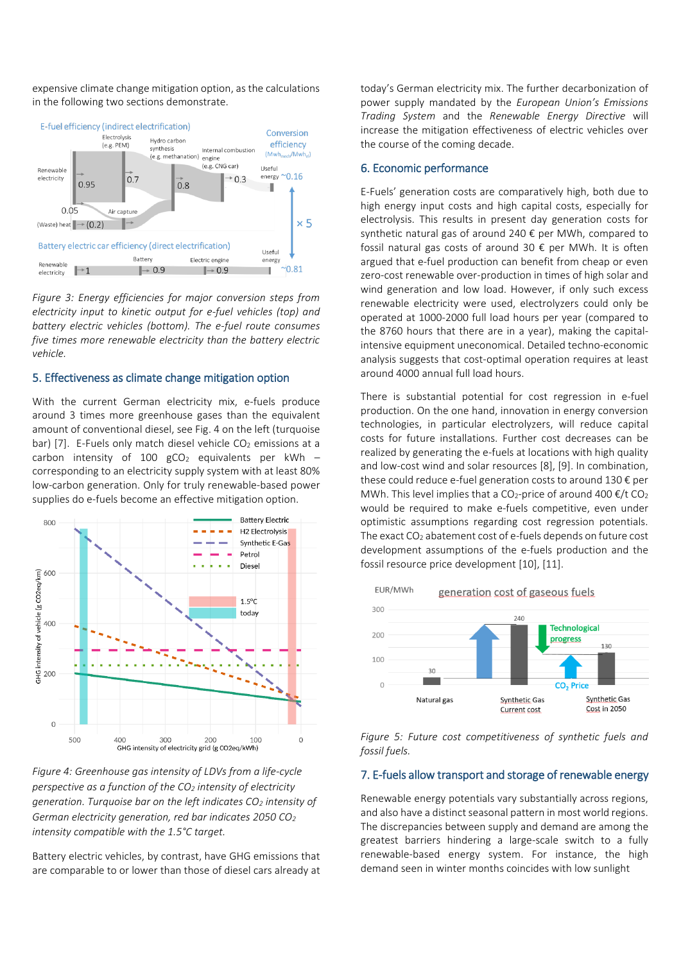expensive climate change mitigation option, as the calculations in the following two sections demonstrate.



*Figure 3: Energy efficiencies for major conversion steps from electricity input to kinetic output for e-fuel vehicles (top) and battery electric vehicles (bottom). The e-fuel route consumes five times more renewable electricity than the battery electric vehicle.*

#### 5. Effectiveness as climate change mitigation option

With the current German electricity mix, e-fuels produce around 3 times more greenhouse gases than the equivalent amount of conventional diesel, see Fig. 4 on the left (turquoise bar) [7]. E-Fuels only match diesel vehicle  $CO<sub>2</sub>$  emissions at a carbon intensity of 100  $gCO<sub>2</sub>$  equivalents per kWh – corresponding to an electricity supply system with at least 80% low-carbon generation. Only for truly renewable-based power supplies do e-fuels become an effective mitigation option.



*Figure 4: Greenhouse gas intensity of LDVs from a life-cycle perspective as a function of the CO<sup>2</sup> intensity of electricity generation. Turquoise bar on the left indicates CO<sup>2</sup> intensity of German electricity generation, red bar indicates 2050 CO<sup>2</sup> intensity compatible with the 1.5°C target.*

Battery electric vehicles, by contrast, have GHG emissions that are comparable to or lower than those of diesel cars already at today's German electricity mix. The further decarbonization of power supply mandated by the *European Union's Emissions Trading System* and the *Renewable Energy Directive* will increase the mitigation effectiveness of electric vehicles over the course of the coming decade.

### 6. Economic performance

E-Fuels' generation costs are comparatively high, both due to high energy input costs and high capital costs, especially for electrolysis. This results in present day generation costs for synthetic natural gas of around 240 € per MWh, compared to fossil natural gas costs of around 30  $\epsilon$  per MWh. It is often argued that e-fuel production can benefit from cheap or even zero-cost renewable over-production in times of high solar and wind generation and low load. However, if only such excess renewable electricity were used, electrolyzers could only be operated at 1000-2000 full load hours per year (compared to the 8760 hours that there are in a year), making the capitalintensive equipment uneconomical. Detailed techno-economic analysis suggests that cost-optimal operation requires at least around 4000 annual full load hours.

There is substantial potential for cost regression in e-fuel production. On the one hand, innovation in energy conversion technologies, in particular electrolyzers, will reduce capital costs for future installations. Further cost decreases can be realized by generating the e-fuels at locations with high quality and low-cost wind and solar resources [8], [9]. In combination, these could reduce e-fuel generation costs to around 130 € per MWh. This level implies that a CO<sub>2</sub>-price of around 400  $\epsilon$ /t CO<sub>2</sub> would be required to make e-fuels competitive, even under optimistic assumptions regarding cost regression potentials. The exact  $CO<sub>2</sub>$  abatement cost of e-fuels depends on future cost development assumptions of the e-fuels production and the fossil resource price development [10], [11].



*Figure 5: Future cost competitiveness of synthetic fuels and fossil fuels.*

## 7. E-fuels allow transport and storage of renewable energy

Renewable energy potentials vary substantially across regions, and also have a distinct seasonal pattern in most world regions. The discrepancies between supply and demand are among the greatest barriers hindering a large-scale switch to a fully renewable-based energy system. For instance, the high demand seen in winter months coincides with low sunlight